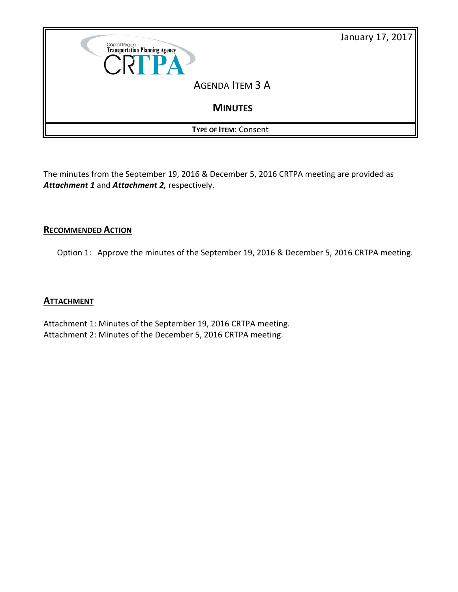

The minutes from the September 19, 2016 & December 5, 2016 CRTPA meeting are provided as *Attachment 1* and *Attachment 2,* respectively.

# **RECOMMENDED ACTION**

Option 1: Approve the minutes of the September 19, 2016 & December 5, 2016 CRTPA meeting.

# **ATTACHMENT**

Attachment 1: Minutes of the September 19, 2016 CRTPA meeting. Attachment 2: Minutes of the December 5, 2016 CRTPA meeting.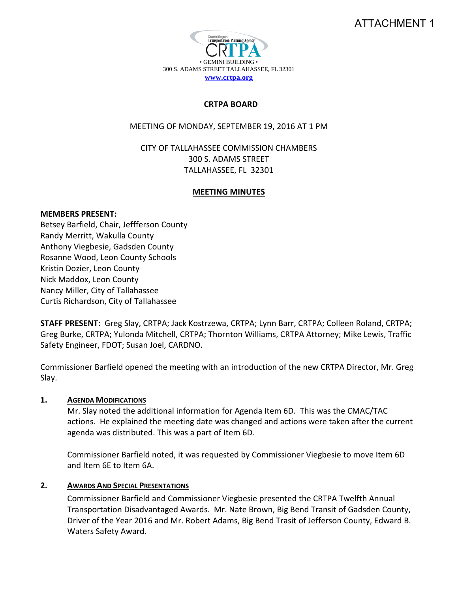# ATTACHMENT 1



#### **CRTPA BOARD**

MEETING OF MONDAY, SEPTEMBER 19, 2016 AT 1 PM

CITY OF TALLAHASSEE COMMISSION CHAMBERS 300 S. ADAMS STREET TALLAHASSEE, FL 32301

#### **MEETING MINUTES**

#### **MEMBERS PRESENT:**

Betsey Barfield, Chair, Jeffferson County Randy Merritt, Wakulla County Anthony Viegbesie, Gadsden County Rosanne Wood, Leon County Schools Kristin Dozier, Leon County Nick Maddox, Leon County Nancy Miller, City of Tallahassee Curtis Richardson, City of Tallahassee

**STAFF PRESENT:** Greg Slay, CRTPA; Jack Kostrzewa, CRTPA; Lynn Barr, CRTPA; Colleen Roland, CRTPA; Greg Burke, CRTPA; Yulonda Mitchell, CRTPA; Thornton Williams, CRTPA Attorney; Mike Lewis, Traffic Safety Engineer, FDOT; Susan Joel, CARDNO.

Commissioner Barfield opened the meeting with an introduction of the new CRTPA Director, Mr. Greg Slay.

### **1. AGENDA MODIFICATIONS**

Mr. Slay noted the additional information for Agenda Item 6D. This was the CMAC/TAC actions. He explained the meeting date was changed and actions were taken after the current agenda was distributed. This was a part of Item 6D.

Commissioner Barfield noted, it was requested by Commissioner Viegbesie to move Item 6D and Item 6E to Item 6A.

### **2. AWARDS AND SPECIAL PRESENTATIONS**

Commissioner Barfield and Commissioner Viegbesie presented the CRTPA Twelfth Annual Transportation Disadvantaged Awards. Mr. Nate Brown, Big Bend Transit of Gadsden County, Driver of the Year 2016 and Mr. Robert Adams, Big Bend Trasit of Jefferson County, Edward B. Waters Safety Award.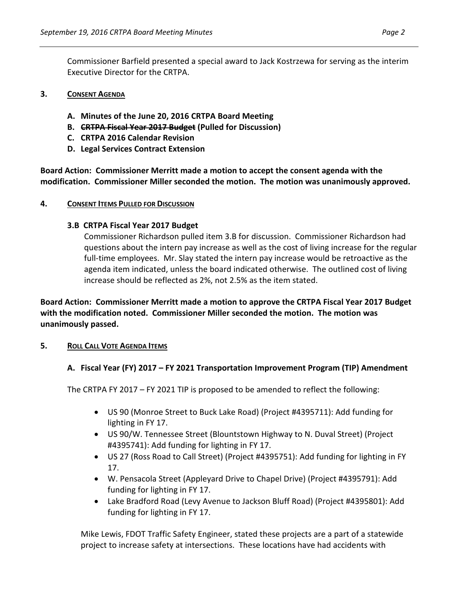Commissioner Barfield presented a special award to Jack Kostrzewa for serving as the interim Executive Director for the CRTPA.

## **3. CONSENT AGENDA**

- **A. Minutes of the June 20, 2016 CRTPA Board Meeting**
- **B. CRTPA Fiscal Year 2017 Budget (Pulled for Discussion)**
- **C. CRTPA 2016 Calendar Revision**
- **D. Legal Services Contract Extension**

**Board Action: Commissioner Merritt made a motion to accept the consent agenda with the modification. Commissioner Miller seconded the motion. The motion was unanimously approved.** 

# **4. CONSENT ITEMS PULLED FOR DISCUSSION**

# **3.B CRTPA Fiscal Year 2017 Budget**

Commissioner Richardson pulled item 3.B for discussion. Commissioner Richardson had questions about the intern pay increase as well as the cost of living increase for the regular full-time employees. Mr. Slay stated the intern pay increase would be retroactive as the agenda item indicated, unless the board indicated otherwise. The outlined cost of living increase should be reflected as 2%, not 2.5% as the item stated.

**Board Action: Commissioner Merritt made a motion to approve the CRTPA Fiscal Year 2017 Budget with the modification noted. Commissioner Miller seconded the motion. The motion was unanimously passed.** 

# **5. ROLL CALL VOTE AGENDA ITEMS**

# **A. Fiscal Year (FY) 2017 – FY 2021 Transportation Improvement Program (TIP) Amendment**

The CRTPA FY 2017 – FY 2021 TIP is proposed to be amended to reflect the following:

- US 90 (Monroe Street to Buck Lake Road) (Project #4395711): Add funding for lighting in FY 17.
- US 90/W. Tennessee Street (Blountstown Highway to N. Duval Street) (Project #4395741): Add funding for lighting in FY 17.
- US 27 (Ross Road to Call Street) (Project #4395751): Add funding for lighting in FY 17.
- W. Pensacola Street (Appleyard Drive to Chapel Drive) (Project #4395791): Add funding for lighting in FY 17.
- Lake Bradford Road (Levy Avenue to Jackson Bluff Road) (Project #4395801): Add funding for lighting in FY 17.

Mike Lewis, FDOT Traffic Safety Engineer, stated these projects are a part of a statewide project to increase safety at intersections. These locations have had accidents with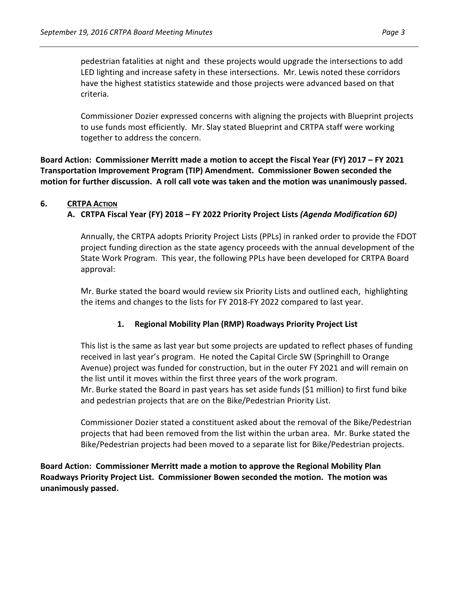pedestrian fatalities at night and these projects would upgrade the intersections to add LED lighting and increase safety in these intersections. Mr. Lewis noted these corridors have the highest statistics statewide and those projects were advanced based on that criteria.

Commissioner Dozier expressed concerns with aligning the projects with Blueprint projects to use funds most efficiently. Mr. Slay stated Blueprint and CRTPA staff were working together to address the concern.

**Board Action: Commissioner Merritt made a motion to accept the Fiscal Year (FY) 2017 – FY 2021 Transportation Improvement Program (TIP) Amendment. Commissioner Bowen seconded the motion for further discussion. A roll call vote was taken and the motion was unanimously passed.**

### **6. CRTPA ACTION**

# **A. CRTPA Fiscal Year (FY) 2018 – FY 2022 Priority Project Lists** *(Agenda Modification 6D)*

Annually, the CRTPA adopts Priority Project Lists (PPLs) in ranked order to provide the FDOT project funding direction as the state agency proceeds with the annual development of the State Work Program. This year, the following PPLs have been developed for CRTPA Board approval:

Mr. Burke stated the board would review six Priority Lists and outlined each, highlighting the items and changes to the lists for FY 2018-FY 2022 compared to last year.

# **1. Regional Mobility Plan (RMP) Roadways Priority Project List**

This list is the same as last year but some projects are updated to reflect phases of funding received in last year's program. He noted the Capital Circle SW (Springhill to Orange Avenue) project was funded for construction, but in the outer FY 2021 and will remain on the list until it moves within the first three years of the work program. Mr. Burke stated the Board in past years has set aside funds (\$1 million) to first fund bike

Commissioner Dozier stated a constituent asked about the removal of the Bike/Pedestrian projects that had been removed from the list within the urban area. Mr. Burke stated the Bike/Pedestrian projects had been moved to a separate list for Bike/Pedestrian projects.

**Board Action: Commissioner Merritt made a motion to approve the Regional Mobility Plan Roadways Priority Project List. Commissioner Bowen seconded the motion. The motion was unanimously passed.** 

and pedestrian projects that are on the Bike/Pedestrian Priority List.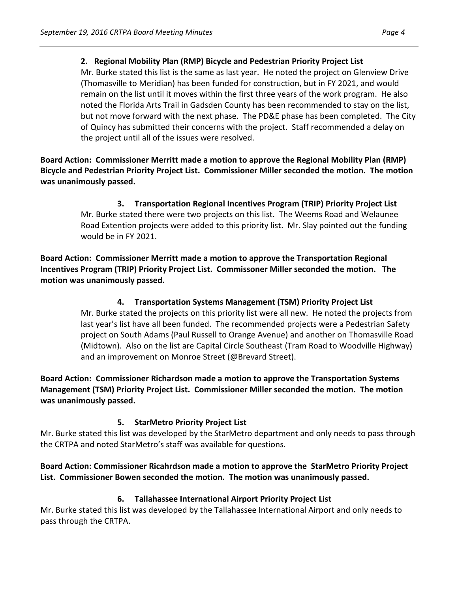# **2. Regional Mobility Plan (RMP) Bicycle and Pedestrian Priority Project List**

Mr. Burke stated this list is the same as last year.He noted the project on Glenview Drive (Thomasville to Meridian) has been funded for construction, but in FY 2021, and would remain on the list until it moves within the first three years of the work program. He also noted the Florida Arts Trail in Gadsden County has been recommended to stay on the list, but not move forward with the next phase. The PD&E phase has been completed. The City of Quincy has submitted their concerns with the project. Staff recommended a delay on the project until all of the issues were resolved.

**Board Action: Commissioner Merritt made a motion to approve the Regional Mobility Plan (RMP) Bicycle and Pedestrian Priority Project List. Commissioner Miller seconded the motion. The motion was unanimously passed.** 

> **3. Transportation Regional Incentives Program (TRIP) Priority Project List** Mr. Burke stated there were two projects on this list. The Weems Road and Welaunee Road Extention projects were added to this priority list. Mr. Slay pointed out the funding would be in FY 2021.

**Board Action: Commissioner Merritt made a motion to approve the Transportation Regional Incentives Program (TRIP) Priority Project List. Commissoner Miller seconded the motion. The motion was unanimously passed.** 

> **4. Transportation Systems Management (TSM) Priority Project List** Mr. Burke stated the projects on this priority list were all new. He noted the projects from last year's list have all been funded. The recommended projects were a Pedestrian Safety project on South Adams (Paul Russell to Orange Avenue) and another on Thomasville Road (Midtown). Also on the list are Capital Circle Southeast (Tram Road to Woodville Highway) and an improvement on Monroe Street (@Brevard Street).

**Board Action: Commissioner Richardson made a motion to approve the Transportation Systems Management (TSM) Priority Project List. Commissioner Miller seconded the motion. The motion was unanimously passed.** 

# **5. StarMetro Priority Project List**

Mr. Burke stated this list was developed by the StarMetro department and only needs to pass through the CRTPA and noted StarMetro's staff was available for questions.

# **Board Action: Commissioner Ricahrdson made a motion to approve the StarMetro Priority Project List. Commissioner Bowen seconded the motion. The motion was unanimously passed.**

# **6. Tallahassee International Airport Priority Project List**

Mr. Burke stated this list was developed by the Tallahassee International Airport and only needs to pass through the CRTPA.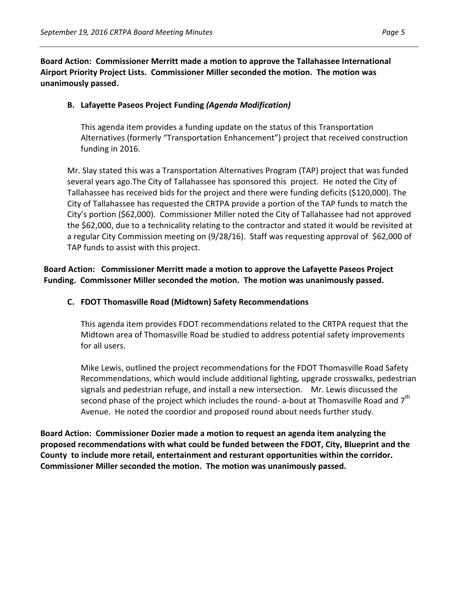**Board Action: Commissioner Merritt made a motion to approve the Tallahassee International Airport Priority Project Lists. Commissioner Miller seconded the motion. The motion was unanimously passed.** 

### **B. Lafayette Paseos Project Funding** *(Agenda Modification)*

This agenda item provides a funding update on the status of this Transportation Alternatives (formerly "Transportation Enhancement") project that received construction funding in 2016.

Mr. Slay stated this was a Transportation Alternatives Program (TAP) project that was funded several years ago.The City of Tallahassee has sponsored this project. He noted the City of Tallahassee has received bids for the project and there were funding deficits (\$120,000). The City of Tallahassee has requested the CRTPA provide a portion of the TAP funds to match the City's portion (\$62,000). Commissioner Miller noted the City of Tallahassee had not approved the \$62,000, due to a technicality relating to the contractor and stated it would be revisited at a regular City Commission meeting on (9/28/16). Staff was requesting approval of \$62,000 of TAP funds to assist with this project.

# **Board Action: Commissioner Merritt made a motion to approve the Lafayette Paseos Project Funding. Commissoner Miller seconded the motion. The motion was unanimously passed.**

### **C. FDOT Thomasville Road (Midtown) Safety Recommendations**

This agenda item provides FDOT recommendations related to the CRTPA request that the Midtown area of Thomasville Road be studied to address potential safety improvements for all users.

Mike Lewis, outlined the project recommendations for the FDOT Thomasville Road Safety Recommendations, which would include additional lighting, upgrade crosswalks, pedestrian signals and pedestrian refuge, and install a new intersection. Mr. Lewis discussed the second phase of the project which includes the round- a-bout at Thomasville Road and  $7<sup>th</sup>$ Avenue. He noted the coordior and proposed round about needs further study.

**Board Action: Commissioner Dozier made a motion to request an agenda item analyzing the proposed recommendations with what could be funded between the FDOT, City, Blueprint and the County to include more retail, entertainment and resturant opportunities within the corridor. Commissioner Miller seconded the motion. The motion was unanimously passed.**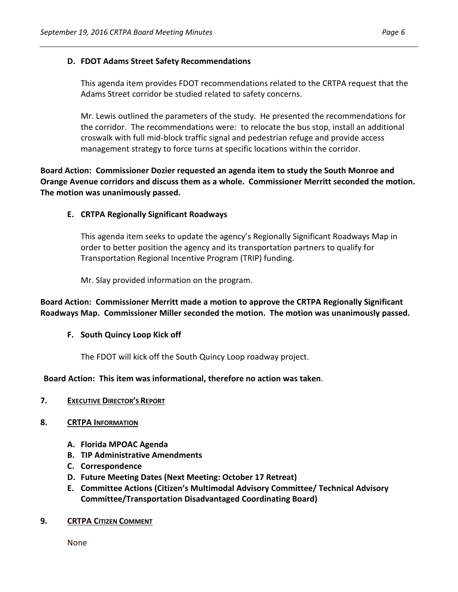## **D. FDOT Adams Street Safety Recommendations**

This agenda item provides FDOT recommendations related to the CRTPA request that the Adams Street corridor be studied related to safety concerns.

Mr. Lewis outlined the parameters of the study. He presented the recommendations for the corridor. The recommendations were: to relocate the bus stop, install an additional croswalk with full mid-block traffic signal and pedestrian refuge and provide access management strategy to force turns at specific locations within the corridor.

# **Board Action: Commissioner Dozier requested an agenda item to study the South Monroe and Orange Avenue corridors and discuss them as a whole. Commissioner Merritt seconded the motion. The motion was unanimously passed.**

### **E. CRTPA Regionally Significant Roadways**

This agenda item seeks to update the agency's Regionally Significant Roadways Map in order to better position the agency and its transportation partners to qualify for Transportation Regional Incentive Program (TRIP) funding.

Mr. Slay provided information on the program.

**Board Action: Commissioner Merritt made a motion to approve the CRTPA Regionally Significant Roadways Map. Commissioner Miller seconded the motion. The motion was unanimously passed.** 

### **F. South Quincy Loop Kick off**

The FDOT will kick off the South Quincy Loop roadway project.

### **Board Action: This item was informational, therefore no action was taken**.

- **7. EXECUTIVE DIRECTOR'S REPORT**
- **8. CRTPA INFORMATION**
	- **A. Florida MPOAC Agenda**
	- **B. TIP Administrative Amendments**
	- **C. Correspondence**
	- **D. Future Meeting Dates (Next Meeting: October 17 Retreat)**
	- **E. Committee Actions (Citizen's Multimodal Advisory Committee/ Technical Advisory Committee/Transportation Disadvantaged Coordinating Board)**
- **9. CRTPA CITIZEN COMMENT**

None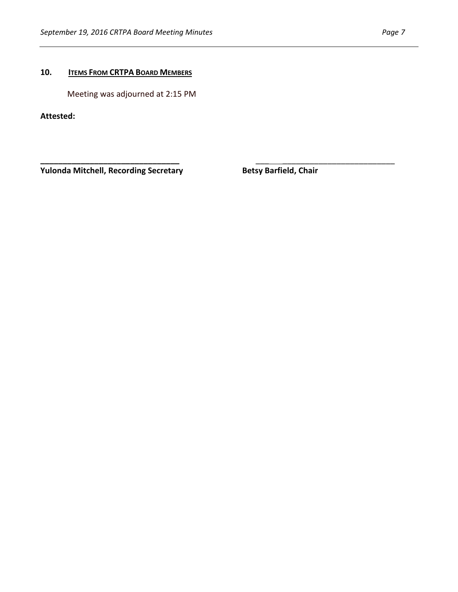# **10. ITEMS FROM CRTPA BOARD MEMBERS**

Meeting was adjourned at 2:15 PM

**Attested:**

**Yulonda Mitchell, Recording Secretary <b>Betsy Barfield, Chair** 

**\_\_\_\_\_\_\_\_\_\_\_\_\_\_\_\_\_\_\_\_\_\_\_\_\_\_\_\_\_\_\_** \_\_\_ \_\_\_\_\_\_\_\_\_\_\_\_\_\_\_\_\_\_\_\_\_\_\_\_\_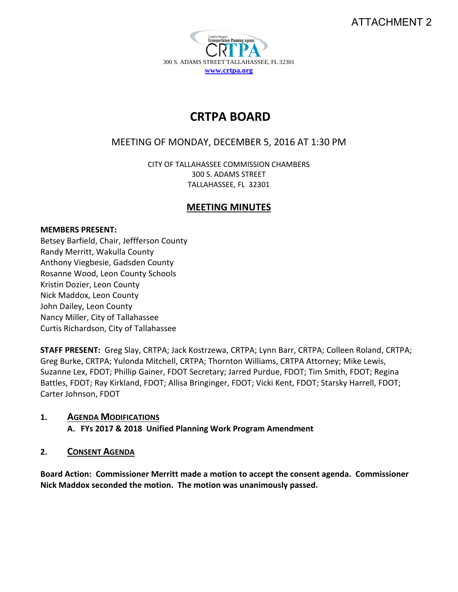# ATTACHMENT 2



# **CRTPA BOARD**

# MEETING OF MONDAY, DECEMBER 5, 2016 AT 1:30 PM

CITY OF TALLAHASSEE COMMISSION CHAMBERS 300 S. ADAMS STREET TALLAHASSEE, FL 32301

# **MEETING MINUTES**

### **MEMBERS PRESENT:**

Betsey Barfield, Chair, Jeffferson County Randy Merritt, Wakulla County Anthony Viegbesie, Gadsden County Rosanne Wood, Leon County Schools Kristin Dozier, Leon County Nick Maddox, Leon County John Dailey, Leon County Nancy Miller, City of Tallahassee Curtis Richardson, City of Tallahassee

**STAFF PRESENT:** Greg Slay, CRTPA; Jack Kostrzewa, CRTPA; Lynn Barr, CRTPA; Colleen Roland, CRTPA; Greg Burke, CRTPA; Yulonda Mitchell, CRTPA; Thornton Williams, CRTPA Attorney; Mike Lewis, Suzanne Lex, FDOT; Phillip Gainer, FDOT Secretary; Jarred Purdue, FDOT; Tim Smith, FDOT; Regina Battles, FDOT; Ray Kirkland, FDOT; Allisa Bringinger, FDOT; Vicki Kent, FDOT; Starsky Harrell, FDOT; Carter Johnson, FDOT

# **1. AGENDA MODIFICATIONS**

**A. FYs 2017 & 2018 Unified Planning Work Program Amendment**

# **2. CONSENT AGENDA**

**Board Action: Commissioner Merritt made a motion to accept the consent agenda. Commissioner Nick Maddox seconded the motion. The motion was unanimously passed.**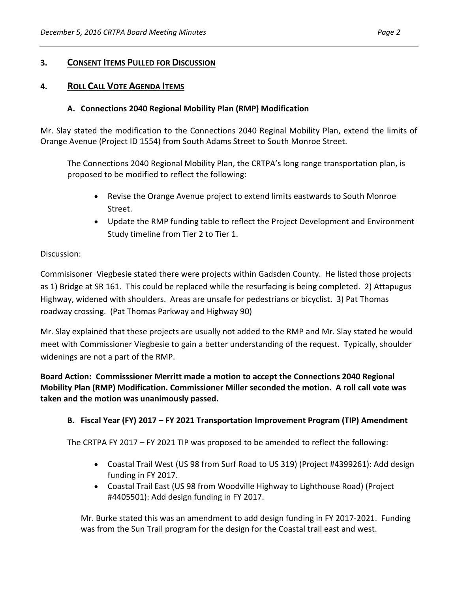## **3. CONSENT ITEMS PULLED FOR DISCUSSION**

## **4. ROLL CALL VOTE AGENDA ITEMS**

### **A. Connections 2040 Regional Mobility Plan (RMP) Modification**

Mr. Slay stated the modification to the Connections 2040 Reginal Mobility Plan, extend the limits of Orange Avenue (Project ID 1554) from South Adams Street to South Monroe Street.

The Connections 2040 Regional Mobility Plan, the CRTPA's long range transportation plan, is proposed to be modified to reflect the following:

- Revise the Orange Avenue project to extend limits eastwards to South Monroe Street.
- Update the RMP funding table to reflect the Project Development and Environment Study timeline from Tier 2 to Tier 1.

#### Discussion:

Commisisoner Viegbesie stated there were projects within Gadsden County. He listed those projects as 1) Bridge at SR 161. This could be replaced while the resurfacing is being completed. 2) Attapugus Highway, widened with shoulders. Areas are unsafe for pedestrians or bicyclist. 3) Pat Thomas roadway crossing. (Pat Thomas Parkway and Highway 90)

Mr. Slay explained that these projects are usually not added to the RMP and Mr. Slay stated he would meet with Commissioner Viegbesie to gain a better understanding of the request. Typically, shoulder widenings are not a part of the RMP.

**Board Action: Commisssioner Merritt made a motion to accept the Connections 2040 Regional Mobility Plan (RMP) Modification. Commissioner Miller seconded the motion. A roll call vote was taken and the motion was unanimously passed.** 

### **B. Fiscal Year (FY) 2017 – FY 2021 Transportation Improvement Program (TIP) Amendment**

The CRTPA FY 2017 – FY 2021 TIP was proposed to be amended to reflect the following:

- Coastal Trail West (US 98 from Surf Road to US 319) (Project #4399261): Add design funding in FY 2017.
- Coastal Trail East (US 98 from Woodville Highway to Lighthouse Road) (Project #4405501): Add design funding in FY 2017.

Mr. Burke stated this was an amendment to add design funding in FY 2017-2021. Funding was from the Sun Trail program for the design for the Coastal trail east and west.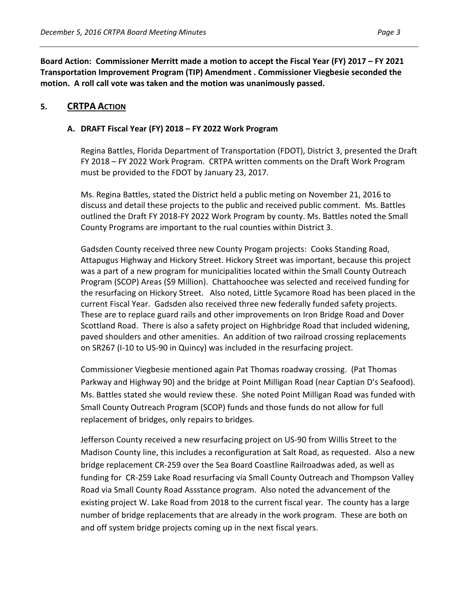**Board Action: Commissioner Merritt made a motion to accept the Fiscal Year (FY) 2017 – FY 2021 Transportation Improvement Program (TIP) Amendment . Commissioner Viegbesie seconded the motion. A roll call vote was taken and the motion was unanimously passed.** 

# **5. CRTPA ACTION**

### **A. DRAFT Fiscal Year (FY) 2018 – FY 2022 Work Program**

Regina Battles, Florida Department of Transportation (FDOT), District 3, presented the Draft FY 2018 – FY 2022 Work Program. CRTPA written comments on the Draft Work Program must be provided to the FDOT by January 23, 2017.

Ms. Regina Battles, stated the District held a public meting on November 21, 2016 to discuss and detail these projects to the public and received public comment. Ms. Battles outlined the Draft FY 2018-FY 2022 Work Program by county. Ms. Battles noted the Small County Programs are important to the rual counties within District 3.

Gadsden County received three new County Progam projects: Cooks Standing Road, Attapugus Highway and Hickory Street. Hickory Street was important, because this project was a part of a new program for municipalities located within the Small County Outreach Program (SCOP) Areas (\$9 Million). Chattahoochee was selected and received funding for the resurfacing on Hickory Street. Also noted, Little Sycamore Road has been placed in the current Fiscal Year. Gadsden also received three new federally funded safety projects. These are to replace guard rails and other improvements on Iron Bridge Road and Dover Scottland Road. There is also a safety project on Highbridge Road that included widening, paved shoulders and other amenities. An addition of two railroad crossing replacements on SR267 (I-10 to US-90 in Quincy) was included in the resurfacing project.

Commissioner Viegbesie mentioned again Pat Thomas roadway crossing. (Pat Thomas Parkway and Highway 90) and the bridge at Point Milligan Road (near Captian D's Seafood). Ms. Battles stated she would review these. She noted Point Milligan Road was funded with Small County Outreach Program (SCOP) funds and those funds do not allow for full replacement of bridges, only repairs to bridges.

Jefferson County received a new resurfacing project on US-90 from Willis Street to the Madison County line, this includes a reconfiguration at Salt Road, as requested. Also a new bridge replacement CR-259 over the Sea Board Coastline Railroadwas aded, as well as funding for CR-259 Lake Road resurfacing via Small County Outreach and Thompson Valley Road via Small County Road Assstance program. Also noted the advancement of the existing project W. Lake Road from 2018 to the current fiscal year. The county has a large number of bridge replacements that are already in the work program. These are both on and off system bridge projects coming up in the next fiscal years.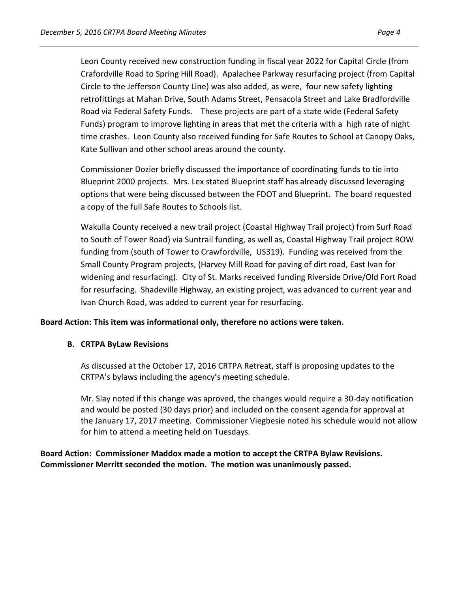Leon County received new construction funding in fiscal year 2022 for Capital Circle (from Crafordville Road to Spring Hill Road). Apalachee Parkway resurfacing project (from Capital Circle to the Jefferson County Line) was also added, as were, four new safety lighting retrofittings at Mahan Drive, South Adams Street, Pensacola Street and Lake Bradfordville Road via Federal Safety Funds. These projects are part of a state wide (Federal Safety Funds) program to improve lighting in areas that met the criteria with a high rate of night time crashes. Leon County also received funding for Safe Routes to School at Canopy Oaks, Kate Sullivan and other school areas around the county.

Commissioner Dozier briefly discussed the importance of coordinating funds to tie into Blueprint 2000 projects. Mrs. Lex stated Blueprint staff has already discussed leveraging options that were being discussed between the FDOT and Blueprint. The board requested a copy of the full Safe Routes to Schools list.

Wakulla County received a new trail project (Coastal Highway Trail project) from Surf Road to South of Tower Road) via Suntrail funding, as well as, Coastal Highway Trail project ROW funding from (south of Tower to Crawfordville, US319). Funding was received from the Small County Program projects, (Harvey Mill Road for paving of dirt road, East Ivan for widening and resurfacing). City of St. Marks received funding Riverside Drive/Old Fort Road for resurfacing. Shadeville Highway, an existing project, was advanced to current year and Ivan Church Road, was added to current year for resurfacing.

### **Board Action: This item was informational only, therefore no actions were taken.**

### **B. CRTPA ByLaw Revisions**

As discussed at the October 17, 2016 CRTPA Retreat, staff is proposing updates to the CRTPA's bylaws including the agency's meeting schedule.

Mr. Slay noted if this change was aproved, the changes would require a 30-day notification and would be posted (30 days prior) and included on the consent agenda for approval at the January 17, 2017 meeting. Commissioner Viegbesie noted his schedule would not allow for him to attend a meeting held on Tuesdays.

**Board Action: Commissioner Maddox made a motion to accept the CRTPA Bylaw Revisions. Commissioner Merritt seconded the motion. The motion was unanimously passed.**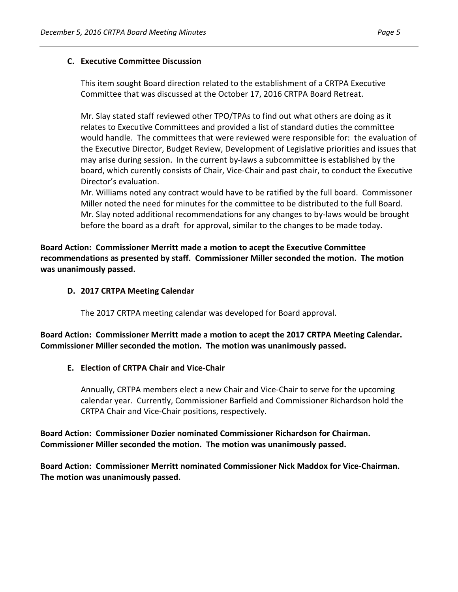### **C. Executive Committee Discussion**

This item sought Board direction related to the establishment of a CRTPA Executive Committee that was discussed at the October 17, 2016 CRTPA Board Retreat.

Mr. Slay stated staff reviewed other TPO/TPAs to find out what others are doing as it relates to Executive Committees and provided a list of standard duties the committee would handle. The committees that were reviewed were responsible for: the evaluation of the Executive Director, Budget Review, Development of Legislative priorities and issues that may arise during session. In the current by-laws a subcommittee is established by the board, which curently consists of Chair, Vice-Chair and past chair, to conduct the Executive Director's evaluation.

Mr. Williams noted any contract would have to be ratified by the full board. Commissoner Miller noted the need for minutes for the committee to be distributed to the full Board. Mr. Slay noted additional recommendations for any changes to by-laws would be brought before the board as a draft for approval, similar to the changes to be made today.

**Board Action: Commissioner Merritt made a motion to acept the Executive Committee recommendations as presented by staff. Commissioner Miller seconded the motion. The motion was unanimously passed.** 

### **D. 2017 CRTPA Meeting Calendar**

The 2017 CRTPA meeting calendar was developed for Board approval.

**Board Action: Commissioner Merritt made a motion to acept the 2017 CRTPA Meeting Calendar. Commissioner Miller seconded the motion. The motion was unanimously passed.** 

# **E. Election of CRTPA Chair and Vice-Chair**

Annually, CRTPA members elect a new Chair and Vice-Chair to serve for the upcoming calendar year. Currently, Commissioner Barfield and Commissioner Richardson hold the CRTPA Chair and Vice-Chair positions, respectively.

# **Board Action: Commissioner Dozier nominated Commissioner Richardson for Chairman. Commissioner Miller seconded the motion. The motion was unanimously passed.**

**Board Action: Commissioner Merritt nominated Commissioner Nick Maddox for Vice-Chairman. The motion was unanimously passed.**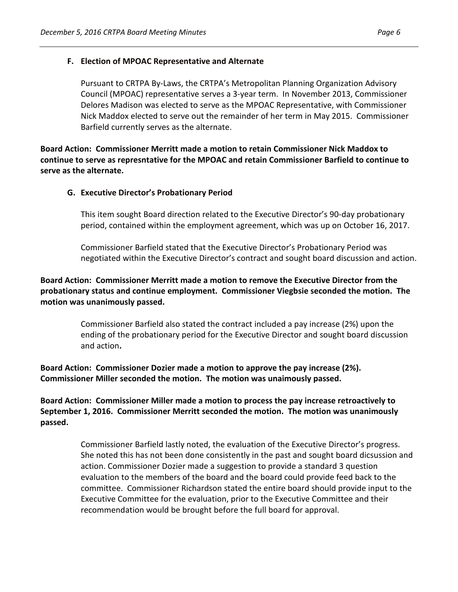## **F. Election of MPOAC Representative and Alternate**

Pursuant to CRTPA By-Laws, the CRTPA's Metropolitan Planning Organization Advisory Council (MPOAC) representative serves a 3-year term. In November 2013, Commissioner Delores Madison was elected to serve as the MPOAC Representative, with Commissioner Nick Maddox elected to serve out the remainder of her term in May 2015. Commissioner Barfield currently serves as the alternate.

**Board Action: Commissioner Merritt made a motion to retain Commissioner Nick Maddox to continue to serve as represntative for the MPOAC and retain Commissioner Barfield to continue to serve as the alternate.** 

### **G. Executive Director's Probationary Period**

This item sought Board direction related to the Executive Director's 90-day probationary period, contained within the employment agreement, which was up on October 16, 2017.

Commissioner Barfield stated that the Executive Director's Probationary Period was negotiated within the Executive Director's contract and sought board discussion and action.

# **Board Action: Commissioner Merritt made a motion to remove the Executive Director from the probationary status and continue employment. Commissioner Viegbsie seconded the motion. The motion was unanimously passed.**

Commissioner Barfield also stated the contract included a pay increase (2%) upon the ending of the probationary period for the Executive Director and sought board discussion and action**.** 

**Board Action: Commissioner Dozier made a motion to approve the pay increase (2%). Commissioner Miller seconded the motion. The motion was unaimously passed.** 

**Board Action: Commissioner Miller made a motion to process the pay increase retroactively to September 1, 2016. Commissioner Merritt seconded the motion. The motion was unanimously passed.** 

> Commissioner Barfield lastly noted, the evaluation of the Executive Director's progress. She noted this has not been done consistently in the past and sought board dicsussion and action. Commissioner Dozier made a suggestion to provide a standard 3 question evaluation to the members of the board and the board could provide feed back to the committee. Commissioner Richardson stated the entire board should provide input to the Executive Committee for the evaluation, prior to the Executive Committee and their recommendation would be brought before the full board for approval.